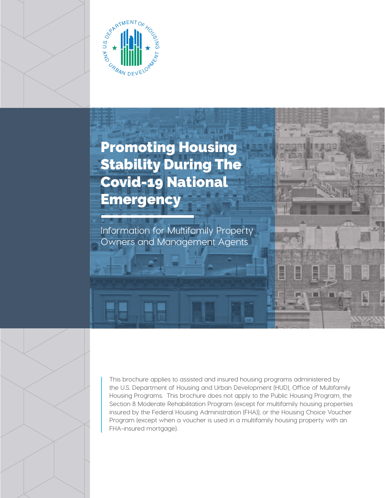

# Promoting Housing Stability During The Covid-19 National **Emergency**

Information for Multifamily Property Owners and Management Agents

This brochure applies to assisted and insured housing programs administered by the U.S. Department of Housing and Urban Development (HUD), Office of Multifamily Housing Programs. This brochure does not apply to the Public Housing Program, the Section 8 Moderate Rehabilitation Program (except for multifamily housing properties insured by the Federal Housing Administration (FHA)), or the Housing Choice Voucher Program (except when a voucher is used in a multifamily housing property with an FHA-insured mortgage).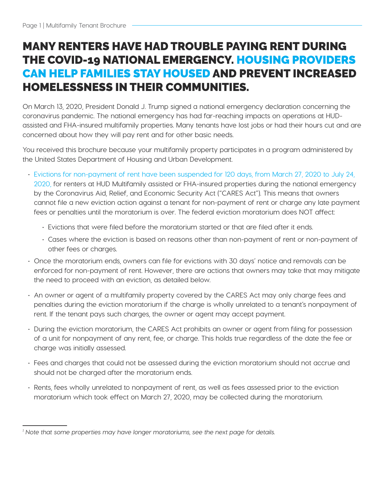# MANY RENTERS HAVE HAD TROUBLE PAYING RENT DURING THE COVID-19 NATIONAL EMERGENCY. HOUSING PROVIDERS CAN HELP FAMILIES STAY HOUSED AND PREVENT INCREASED HOMELESSNESS IN THEIR COMMUNITIES.

On March 13, 2020, President Donald J. Trump signed a national emergency declaration concerning the coronavirus pandemic. The national emergency has had far-reaching impacts on operations at HUDassisted and FHA-insured multifamily properties. Many tenants have lost jobs or had their hours cut and are concerned about how they will pay rent and for other basic needs.

You received this brochure because your multifamily property participates in a program administered by the United States Department of Housing and Urban Development.

- Evictions for non-payment of rent have been suspended for 120 days, from March 27, 2020 to July 24, 2020, for renters at HUD Multifamily assisted or FHA-insured properties during the national emergency by the Coronavirus Aid, Relief, and Economic Security Act ("CARES Act"). This means that owners cannot file a new eviction action against a tenant for non-payment of rent or charge any late payment fees or penalties until the moratorium is over. The federal eviction moratorium does NOT affect:
	- Evictions that were filed before the moratorium started or that are filed after it ends.
	- Cases where the eviction is based on reasons other than non-payment of rent or non-payment of other fees or charges.
- Once the moratorium ends, owners can file for evictions with 30 days' notice and removals can be enforced for non-payment of rent. However, there are actions that owners may take that may mitigate the need to proceed with an eviction, as detailed below.
- An owner or agent of a multifamily property covered by the CARES Act may only charge fees and penalties during the eviction moratorium if the charge is wholly unrelated to a tenant's nonpayment of rent. If the tenant pays such charges, the owner or agent may accept payment.
- During the eviction moratorium, the CARES Act prohibits an owner or agent from filing for possession of a unit for nonpayment of any rent, fee, or charge. This holds true regardless of the date the fee or charge was initially assessed.
- Fees and charges that could not be assessed during the eviction moratorium should not accrue and should not be charged after the moratorium ends.
- Rents, fees wholly unrelated to nonpayment of rent, as well as fees assessed prior to the eviction moratorium which took effect on March 27, 2020, may be collected during the moratorium.

*<sup>1</sup> Note that some properties may have longer moratoriums, see the next page for details.*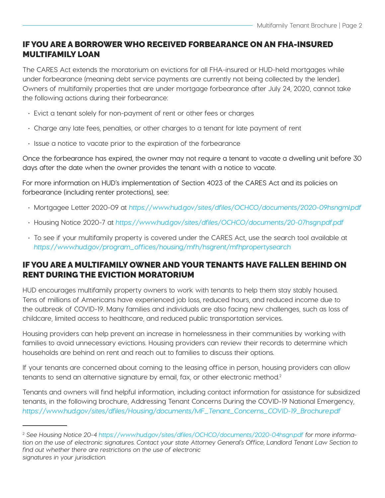### IF YOU ARE A BORROWER WHO RECEIVED FORBEARANCE ON AN FHA-INSURED MULTIFAMILY LOAN

The CARES Act extends the moratorium on evictions for all FHA-insured or HUD-held mortgages while under forbearance (meaning debt service payments are currently not being collected by the lender). Owners of multifamily properties that are under mortgage forbearance after July 24, 2020, cannot take the following actions during their forbearance:

- Evict a tenant solely for non-payment of rent or other fees or charges
- Charge any late fees, penalties, or other charges to a tenant for late payment of rent
- Issue a notice to vacate prior to the expiration of the forbearance

Once the forbearance has expired, the owner may not require a tenant to vacate a dwelling unit before 30 days after the date when the owner provides the tenant with a notice to vacate.

For more information on HUD's implementation of Section 4023 of the CARES Act and its policies on forbearance (including renter protections), see:

- Mortgagee Letter 2020-09 at <https://www.hud.gov/sites/dfiles/OCHCO/documents/2020-09hsngml.pdf>
- Housing Notice 2020-7 at https://www.hud.gov/sites/dfiles/OCHCO/documents/20-07hsgn.pdf.pdf
- To see if your multifamily property is covered under the CARES Act, use the search tool available at [https://www.hud.gov/program\\_offices/housing/mfh/hsgrent/mfhpropertysearch](https://www.hud.gov/program_offices/housing/mfh/hsgrent/mfhpropertysearch)

#### IF YOU ARE A MULTIFAMILY OWNER AND YOUR TENANTS HAVE FALLEN BEHIND ON RENT DURING THE EVICTION MORATORIUM

HUD encourages multifamily property owners to work with tenants to help them stay stably housed. Tens of millions of Americans have experienced job loss, reduced hours, and reduced income due to the outbreak of COVID-19. Many families and individuals are also facing new challenges, such as loss of childcare, limited access to healthcare, and reduced public transportation services.

Housing providers can help prevent an increase in homelessness in their communities by working with families to avoid unnecessary evictions. Housing providers can review their records to determine which households are behind on rent and reach out to families to discuss their options.

If your tenants are concerned about coming to the leasing office in person, housing providers can allow tenants to send an alternative signature by email, fax, or other electronic method.<sup>2</sup>

Tenants and owners will find helpful information, including contact information for assistance for subsidized tenants, in the following brochure, Addressing Tenant Concerns During the COVID-19 National Emergency, [https://www.hud.gov/sites/dfiles/Housing/documents/MF\\_Tenant\\_Concerns\\_COVID-19\\_Brochure.pdf](https://www.hud.gov/sites/dfiles/Housing/documents/MF_Tenant_Concerns_COVID-19_Brochure.pdf)

<sup>2</sup> See Housing Notice 20-4<https://www.hud.gov/sites/dfiles/OCHCO/documents/2020-04hsgn.pdf> *for more informa*tion on the use of electronic signatures. Contact your state Attorney General's Office, Landlord Tenant Law Section to find out whether there are restrictions on the use of electronic signatures in your jurisdiction.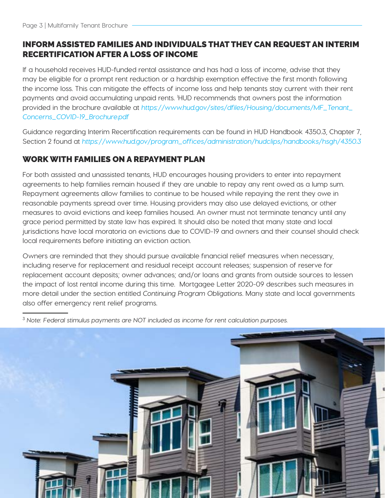## INFORM ASSISTED FAMILIES AND INDIVIDUALS THAT THEY CAN REQUEST AN INTERIM RECERTIFICATION AFTER A LOSS OF INCOME

If a household receives HUD-funded rental assistance and has had a loss of income, advise that they may be eligible for a prompt rent reduction or a hardship exemption effective the first month following the income loss. This can mitigate the effects of income loss and help tenants stay current with their rent payments and avoid accumulating unpaid rents. 1 HUD recommends that owners post the information provided in the brochure available at [https://www.hud.gov/sites/dfiles/Housing/documents/MF\\_Tenant\\_](https://www.hud.gov/sites/dfiles/Housing/documents/MF_Tenant_Concerns_COVID-19_Brochure.pdf) [Concerns\\_COVID-19\\_Brochure.pdf](https://www.hud.gov/sites/dfiles/Housing/documents/MF_Tenant_Concerns_COVID-19_Brochure.pdf)

Guidance regarding Interim Recertification requirements can be found in HUD Handbook 4350.3, Chapter 7, Section 2 found at [https://www.hud.gov/program\\_offices/administration/hudclips/handbooks/hsgh/4350.3](https://www.hud.gov/program_offices/administration/hudclips/handbooks/hsgh/4350.3)

### WORK WITH FAMILIES ON A REPAYMENT PLAN

For both assisted and unassisted tenants, HUD encourages housing providers to enter into repayment agreements to help families remain housed if they are unable to repay any rent owed as a lump sum. Repayment agreements allow families to continue to be housed while repaying the rent they owe in reasonable payments spread over time. Housing providers may also use delayed evictions, or other measures to avoid evictions and keep families housed. An owner must not terminate tenancy until any grace period permitted by state law has expired. It should also be noted that many state and local jurisdictions have local moratoria on evictions due to COVID-19 and owners and their counsel should check local requirements before initiating an eviction action.

Owners are reminded that they should pursue available financial relief measures when necessary, including reserve for replacement and residual receipt account releases; suspension of reserve for replacement account deposits; owner advances; and/or loans and grants from outside sources to lessen the impact of lost rental income during this time. Mortgagee Letter 2020-09 describes such measures in more detail under the section entitled Continuing Program Obligations. Many state and local governments also offer emergency rent relief programs.

<sup>3</sup> Note: Federal stimulus payments are NOT included as income for rent calculation purposes.

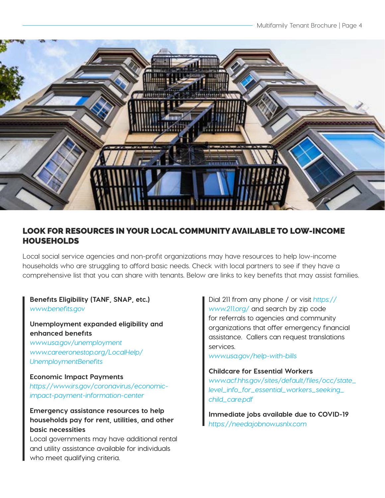

#### LOOK FOR RESOURCES IN YOUR LOCAL COMMUNITY AVAILABLE TO LOW-INCOME HOUSEHOLDS

Local social service agencies and non-profit organizations may have resources to help low-income households who are struggling to afford basic needs. Check with local partners to see if they have a comprehensive list that you can share with tenants. Below are links to key benefits that may assist families.

**Benefits Eligibility (TANF, SNAP, etc.)** [www.benefits.gov](http://www.benefits.gov) 

#### **Unemployment expanded eligibility and enhanced benefits**

*[www.usa.gov/unemployment](http://www.usa.gov/unemployment)* [www.careeronestop.org/LocalHelp/](http://www.careeronestop.org/LocalHelp/UnemploymentBenefits) [UnemploymentBenefits](http://www.careeronestop.org/LocalHelp/UnemploymentBenefits)

#### **Economic Impact Payments**

[https://www.irs.gov/coronavirus/economic](https://www.irs.gov/coronavirus/economic-impact-payment-information-center)[impact-payment-information-center](https://www.irs.gov/coronavirus/economic-impact-payment-information-center)

**Emergency assistance resources to help households pay for rent, utilities, and other basic necessities**

Local governments may have additional rental and utility assistance available for individuals who meet qualifying criteria.

Dial 211 from any phone / or visit *[https://](https://www.211.org/)* [www.211.org/](https://www.211.org/) and search by zip code for referrals to agencies and community organizations that offer emergency financial assistance. Callers can request translations services.

[www.usa.gov/help-with-bills](http://www.usa.gov/help-with-bills)

#### **Childcare for Essential Workers**

[www.acf.hhs.gov/sites/default/files/occ/state\\_](http://www.acf.hhs.gov/sites/default/files/occ/state_level_info_for_essential_workers_seeking_child_care.pdf) [level\\_info\\_for\\_essential\\_workers\\_seeking\\_](http://www.acf.hhs.gov/sites/default/files/occ/state_level_info_for_essential_workers_seeking_child_care.pdf) [child\\_care.pdf](http://www.acf.hhs.gov/sites/default/files/occ/state_level_info_for_essential_workers_seeking_child_care.pdf)

**Immediate jobs available due to COVID-19** <https://needajobnow.usnlx.com>